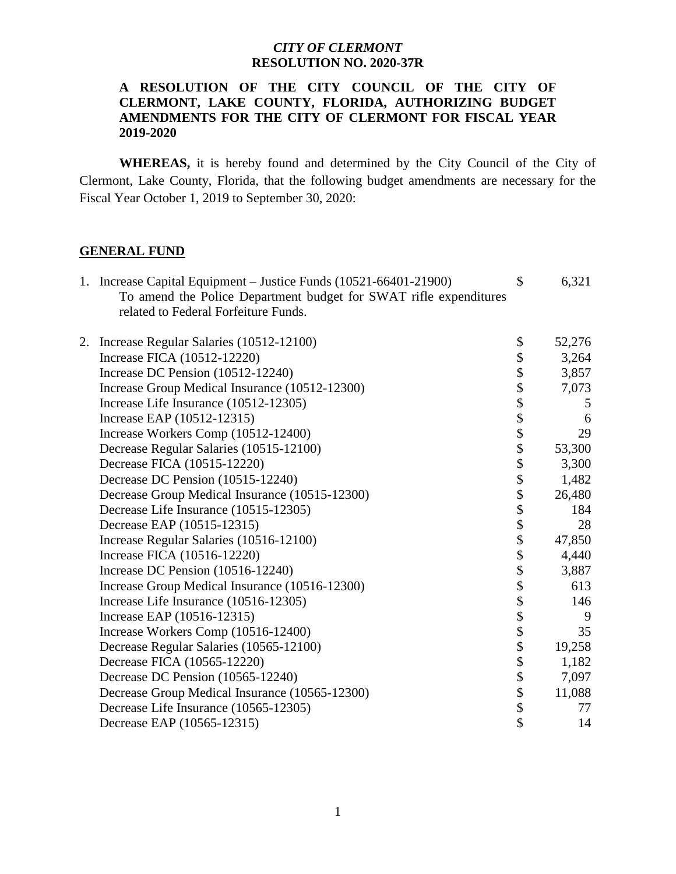#### **A RESOLUTION OF THE CITY COUNCIL OF THE CITY OF CLERMONT, LAKE COUNTY, FLORIDA, AUTHORIZING BUDGET AMENDMENTS FOR THE CITY OF CLERMONT FOR FISCAL YEAR 2019-2020**

 **WHEREAS,** it is hereby found and determined by the City Council of the City of Clermont, Lake County, Florida, that the following budget amendments are necessary for the Fiscal Year October 1, 2019 to September 30, 2020:

#### **GENERAL FUND**

|                                                                   | 6,321        |
|-------------------------------------------------------------------|--------------|
| To amend the Police Department budget for SWAT rifle expenditures |              |
| related to Federal Forfeiture Funds.                              |              |
| Increase Regular Salaries (10512-12100)                           | \$           |
| 2.                                                                | \$<br>52,276 |
| Increase FICA (10512-12220)                                       | 3,264        |
| Increase DC Pension (10512-12240)                                 | 3,857        |
| Increase Group Medical Insurance (10512-12300)                    | 7,073        |
| Increase Life Insurance (10512-12305)                             | 5            |
| Increase EAP (10512-12315)                                        | 6            |
| Increase Workers Comp (10512-12400)                               | 29           |
| Decrease Regular Salaries (10515-12100)                           | 53,300       |
| Decrease FICA (10515-12220)                                       | 3,300        |
| Decrease DC Pension (10515-12240)                                 | 1,482        |
| Decrease Group Medical Insurance (10515-12300)                    | 26,480       |
| Decrease Life Insurance (10515-12305)                             | 184          |
| Decrease EAP (10515-12315)                                        | 28           |
| Increase Regular Salaries (10516-12100)                           | 47,850       |
| Increase FICA (10516-12220)                                       | 4,440        |
| Increase DC Pension $(10516-12240)$                               | 3,887        |
| Increase Group Medical Insurance (10516-12300)                    | 613          |
| Increase Life Insurance (10516-12305)                             | 146          |
| Increase EAP (10516-12315)                                        | 9            |
| Increase Workers Comp (10516-12400)                               | 35           |
| Decrease Regular Salaries (10565-12100)                           | 19,258       |
| Decrease FICA (10565-12220)                                       | 1,182        |
| Decrease DC Pension (10565-12240)                                 | 7,097        |
| Decrease Group Medical Insurance (10565-12300)                    | 11,088       |
| Decrease Life Insurance (10565-12305)                             | 77           |
| Decrease EAP (10565-12315)                                        | 14           |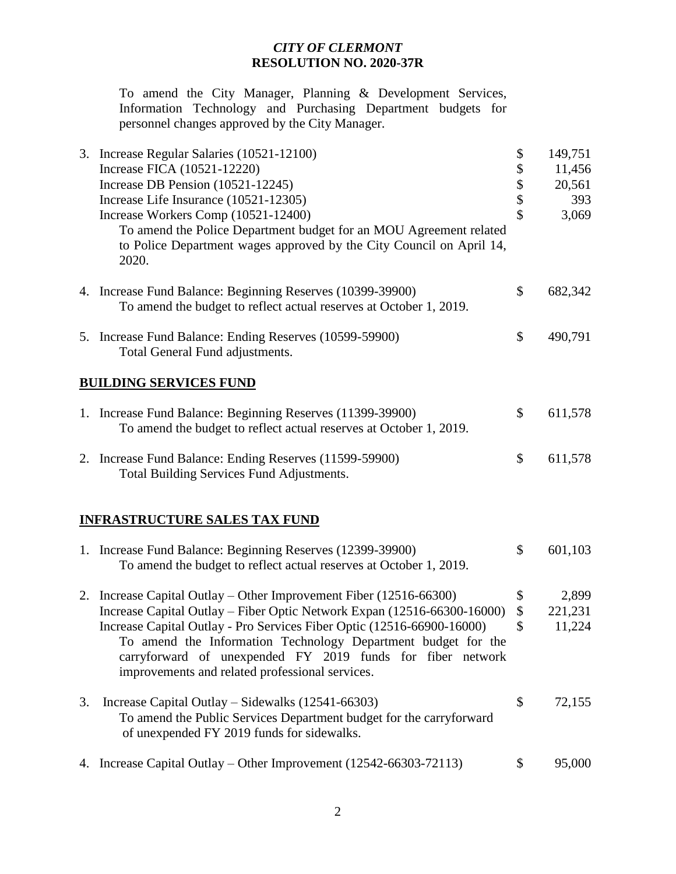To amend the City Manager, Planning & Development Services, Information Technology and Purchasing Department budgets for personnel changes approved by the City Manager.

| 3. Increase Regular Salaries (10521-12100)                                                                                       | \$<br>149,751 |
|----------------------------------------------------------------------------------------------------------------------------------|---------------|
| Increase FICA (10521-12220)                                                                                                      | \$<br>11,456  |
| Increase DB Pension (10521-12245)                                                                                                | \$<br>20,561  |
| Increase Life Insurance (10521-12305)                                                                                            | \$<br>393     |
| Increase Workers Comp (10521-12400)                                                                                              | \$<br>3,069   |
| To amend the Police Department budget for an MOU Agreement related                                                               |               |
| to Police Department wages approved by the City Council on April 14,<br>2020.                                                    |               |
| 4. Increase Fund Balance: Beginning Reserves (10399-39900)                                                                       | \$<br>682,342 |
| To amend the budget to reflect actual reserves at October 1, 2019.                                                               |               |
| 5. Increase Fund Balance: Ending Reserves (10599-59900)<br>Total General Fund adjustments.                                       | \$<br>490,791 |
| <b>BUILDING SERVICES FUND</b>                                                                                                    |               |
| 1. Increase Fund Balance: Beginning Reserves (11399-39900)<br>To amend the budget to reflect actual reserves at October 1, 2019. | \$<br>611,578 |
| 2. Increase Fund Balance: Ending Reserves (11599-59900)<br>Total Building Services Fund Adjustments.                             | \$<br>611,578 |
|                                                                                                                                  |               |

#### **INFRASTRUCTURE SALES TAX FUND**

|    | 1. Increase Fund Balance: Beginning Reserves (12399-39900)<br>To amend the budget to reflect actual reserves at October 1, 2019.                                                                                                                         | \$            | 601,103          |
|----|----------------------------------------------------------------------------------------------------------------------------------------------------------------------------------------------------------------------------------------------------------|---------------|------------------|
|    | 2. Increase Capital Outlay – Other Improvement Fiber $(12516-66300)$<br>Increase Capital Outlay - Fiber Optic Network Expan (12516-66300-16000)                                                                                                          | \$<br>\$      | 2,899<br>221,231 |
|    | Increase Capital Outlay - Pro Services Fiber Optic (12516-66900-16000)<br>To amend the Information Technology Department budget for the<br>carryforward of unexpended FY 2019 funds for fiber network<br>improvements and related professional services. | <sup>\$</sup> | 11,224           |
| 3. | Increase Capital Outlay – Sidewalks $(12541 - 66303)$<br>To amend the Public Services Department budget for the carryforward<br>of unexpended FY 2019 funds for sidewalks.                                                                               | \$            | 72,155           |
|    | 4. Increase Capital Outlay – Other Improvement (12542-66303-72113)                                                                                                                                                                                       |               | 95,000           |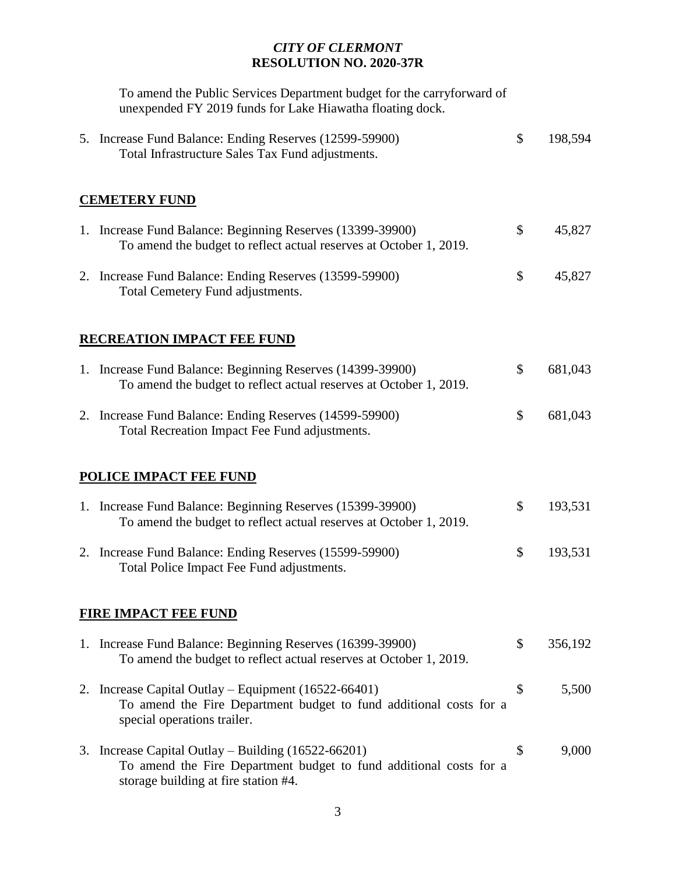To amend the Public Services Department budget for the carryforward of unexpended FY 2019 funds for Lake Hiawatha floating dock.

|    | 5. Increase Fund Balance: Ending Reserves (12599-59900)<br>Total Infrastructure Sales Tax Fund adjustments.                                                           | \$ | 198,594 |  |  |
|----|-----------------------------------------------------------------------------------------------------------------------------------------------------------------------|----|---------|--|--|
|    | <b>CEMETERY FUND</b>                                                                                                                                                  |    |         |  |  |
|    | 1. Increase Fund Balance: Beginning Reserves (13399-39900)<br>To amend the budget to reflect actual reserves at October 1, 2019.                                      | \$ | 45,827  |  |  |
|    | 2. Increase Fund Balance: Ending Reserves (13599-59900)<br>Total Cemetery Fund adjustments.                                                                           | \$ | 45,827  |  |  |
|    | <b>RECREATION IMPACT FEE FUND</b>                                                                                                                                     |    |         |  |  |
|    | 1. Increase Fund Balance: Beginning Reserves (14399-39900)<br>To amend the budget to reflect actual reserves at October 1, 2019.                                      | \$ | 681,043 |  |  |
|    | 2. Increase Fund Balance: Ending Reserves (14599-59900)<br>Total Recreation Impact Fee Fund adjustments.                                                              | \$ | 681,043 |  |  |
|    | <b>POLICE IMPACT FEE FUND</b>                                                                                                                                         |    |         |  |  |
|    | 1. Increase Fund Balance: Beginning Reserves (15399-39900)<br>To amend the budget to reflect actual reserves at October 1, 2019.                                      | \$ | 193,531 |  |  |
|    | 2. Increase Fund Balance: Ending Reserves (15599-59900)<br>Total Police Impact Fee Fund adjustments.                                                                  | \$ | 193,531 |  |  |
|    | <b>FIRE IMPACT FEE FUND</b>                                                                                                                                           |    |         |  |  |
|    | 1. Increase Fund Balance: Beginning Reserves (16399-39900)<br>To amend the budget to reflect actual reserves at October 1, 2019.                                      | \$ | 356,192 |  |  |
| 2. | Increase Capital Outlay – Equipment (16522-66401)<br>To amend the Fire Department budget to fund additional costs for a<br>special operations trailer.                | \$ | 5,500   |  |  |
|    | 3. Increase Capital Outlay – Building $(16522 - 66201)$<br>To amend the Fire Department budget to fund additional costs for a<br>storage building at fire station #4. | \$ | 9,000   |  |  |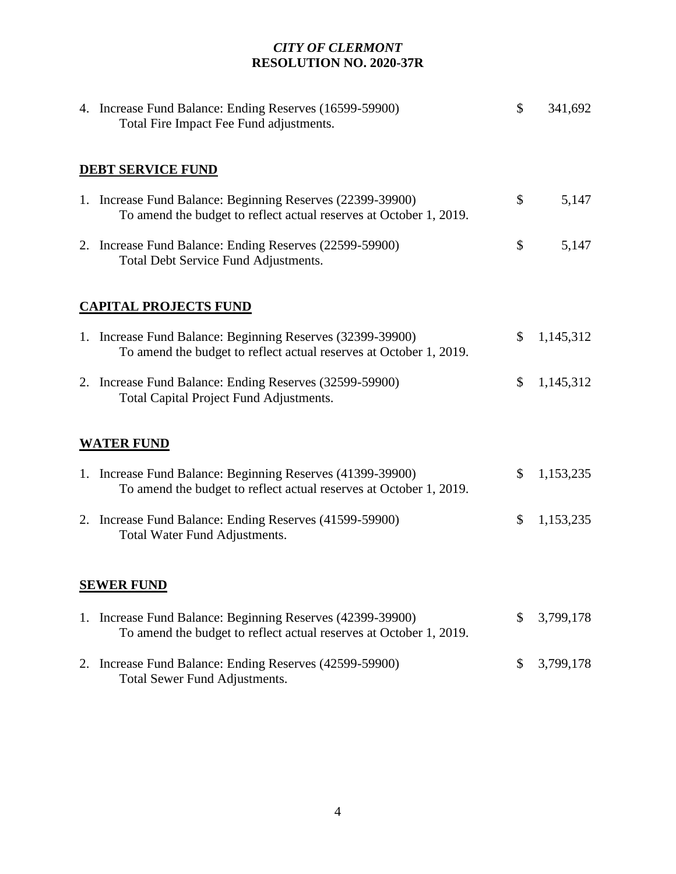| 4. Increase Fund Balance: Ending Reserves (16599-59900)<br>Total Fire Impact Fee Fund adjustments.                               | \$<br>341,692   |
|----------------------------------------------------------------------------------------------------------------------------------|-----------------|
| <b>DEBT SERVICE FUND</b>                                                                                                         |                 |
| 1. Increase Fund Balance: Beginning Reserves (22399-39900)<br>To amend the budget to reflect actual reserves at October 1, 2019. | \$<br>5,147     |
| 2. Increase Fund Balance: Ending Reserves (22599-59900)<br>Total Debt Service Fund Adjustments.                                  | \$<br>5,147     |
| <b>CAPITAL PROJECTS FUND</b>                                                                                                     |                 |
| 1. Increase Fund Balance: Beginning Reserves (32399-39900)<br>To amend the budget to reflect actual reserves at October 1, 2019. | \$<br>1,145,312 |
| 2. Increase Fund Balance: Ending Reserves (32599-59900)<br>Total Capital Project Fund Adjustments.                               | \$<br>1,145,312 |
| <b>WATER FUND</b>                                                                                                                |                 |
| 1. Increase Fund Balance: Beginning Reserves (41399-39900)<br>To amend the budget to reflect actual reserves at October 1, 2019. | \$<br>1,153,235 |
| 2. Increase Fund Balance: Ending Reserves (41599-59900)<br>Total Water Fund Adjustments.                                         | \$<br>1,153,235 |
| <b>SEWER FUND</b>                                                                                                                |                 |
| 1. Increase Fund Balance: Beginning Reserves (42399-39900)<br>To amend the budget to reflect actual reserves at October 1, 2019. | \$<br>3,799,178 |
| 2. Increase Fund Balance: Ending Reserves (42599-59900)<br>Total Sewer Fund Adjustments.                                         | \$<br>3,799,178 |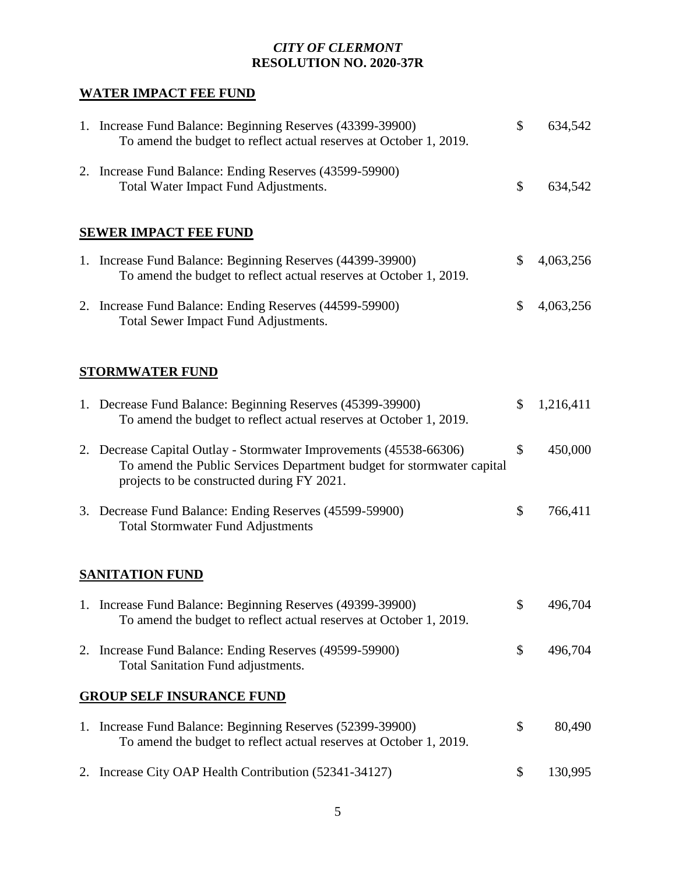# **WATER IMPACT FEE FUND**

| 1. Increase Fund Balance: Beginning Reserves (43399-39900)<br>To amend the budget to reflect actual reserves at October 1, 2019.                                                          | \$<br>634,542   |
|-------------------------------------------------------------------------------------------------------------------------------------------------------------------------------------------|-----------------|
| 2. Increase Fund Balance: Ending Reserves (43599-59900)<br>Total Water Impact Fund Adjustments.                                                                                           | \$<br>634,542   |
| <b>SEWER IMPACT FEE FUND</b>                                                                                                                                                              |                 |
| 1. Increase Fund Balance: Beginning Reserves (44399-39900)<br>To amend the budget to reflect actual reserves at October 1, 2019.                                                          | \$<br>4,063,256 |
| 2. Increase Fund Balance: Ending Reserves (44599-59900)<br>Total Sewer Impact Fund Adjustments.                                                                                           | \$<br>4,063,256 |
| <b>STORMWATER FUND</b>                                                                                                                                                                    |                 |
| 1. Decrease Fund Balance: Beginning Reserves (45399-39900)<br>To amend the budget to reflect actual reserves at October 1, 2019.                                                          | \$<br>1,216,411 |
| 2. Decrease Capital Outlay - Stormwater Improvements (45538-66306)<br>To amend the Public Services Department budget for stormwater capital<br>projects to be constructed during FY 2021. | \$<br>450,000   |
| 3. Decrease Fund Balance: Ending Reserves (45599-59900)<br><b>Total Stormwater Fund Adjustments</b>                                                                                       | \$<br>766,411   |
| <b>SANITATION FUND</b>                                                                                                                                                                    |                 |
| 1. Increase Fund Balance: Beginning Reserves (49399-39900)<br>To amend the budget to reflect actual reserves at October 1, 2019.                                                          | \$<br>496,704   |
| 2. Increase Fund Balance: Ending Reserves (49599-59900)<br>Total Sanitation Fund adjustments.                                                                                             | \$<br>496,704   |
| <b>GROUP SELF INSURANCE FUND</b>                                                                                                                                                          |                 |
| 1. Increase Fund Balance: Beginning Reserves (52399-39900)<br>To amend the budget to reflect actual reserves at October 1, 2019.                                                          | \$<br>80,490    |
| 2. Increase City OAP Health Contribution (52341-34127)                                                                                                                                    | \$<br>130,995   |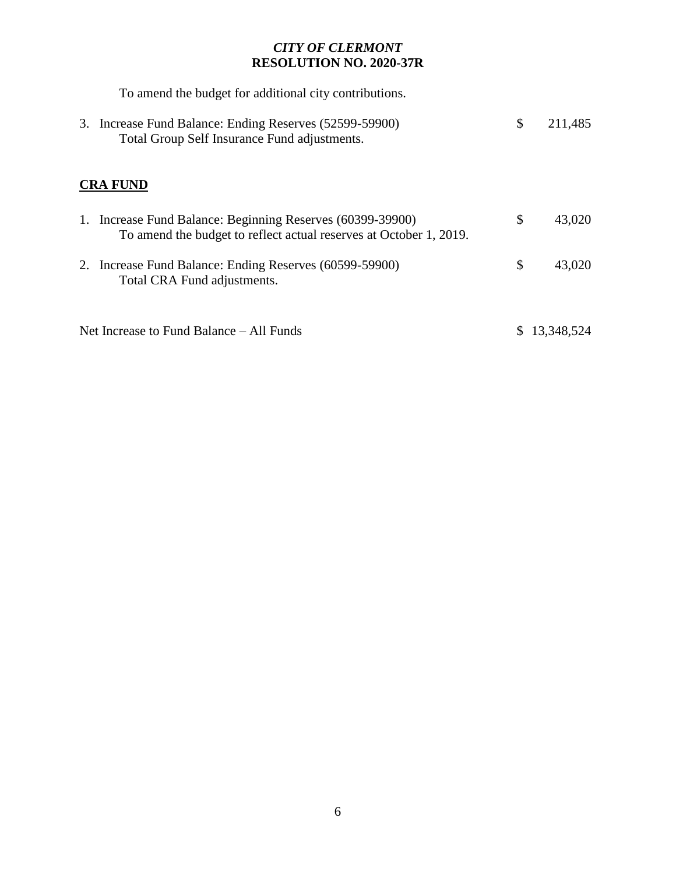| To amend the budget for additional city contributions.                                                                           |               |
|----------------------------------------------------------------------------------------------------------------------------------|---------------|
| 3. Increase Fund Balance: Ending Reserves (52599-59900)<br>Total Group Self Insurance Fund adjustments.                          | \$<br>211,485 |
| <b>CRA FUND</b>                                                                                                                  |               |
| 1. Increase Fund Balance: Beginning Reserves (60399-39900)<br>To amend the budget to reflect actual reserves at October 1, 2019. | \$<br>43,020  |
| 2. Increase Fund Balance: Ending Reserves (60599-59900)<br>Total CRA Fund adjustments.                                           | \$<br>43,020  |
| Net Increase to Fund Balance – All Funds                                                                                         | 13,348,524    |